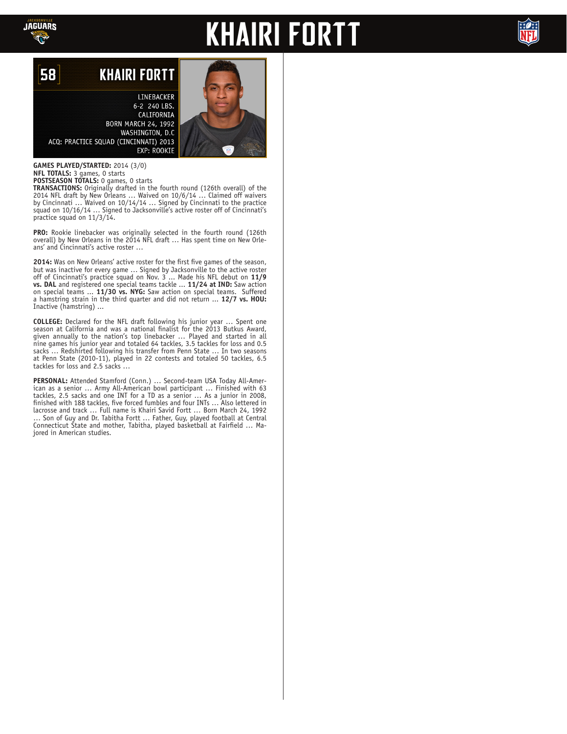

## **KHAIRI FORTT**



## 58 **KHAIRI FORTT**

LINEBACKER 6-2 240 LBS. CALIFORNIA **BORN MARCH 24, 1992** WASHINGTON, D.C. ACQ: PRACTICE SQUAD (CINCINNATI) 2013 **EXP: ROOKIE** 

**GAMES PLAYED/STARTED:** 2014 (3/0) **NFL TOTALS:** 3 games, 0 starts **POSTSEASON TOTALS:** 0 games, 0 starts

**TRANSACTIONS:** Originally drafted in the fourth round (126th overall) of the 2014 NFL draft by New Orleans … Waived on 10/6/14 … Claimed off waivers by Cincinnati … Waived on 10/14/14 … Signed by Cincinnati to the practice squad on 10/16/14 ... Signed to Jacksonville's active roster off of Cincinnati's practice squad on 11/3/14.

**PRO:** Rookie linebacker was originally selected in the fourth round (126th overall) by New Orleans in the 2014 NFL draft … Has spent time on New Orleans' and Cincinnati's active roster …

**2014:** Was on New Orleans' active roster for the first five games of the season, but was inactive for every game … Signed by Jacksonville to the active roster off of Cincinnati's practice squad on Nov. 3 ... Made his NFL debut on **11/9 vs. DAL** and registered one special teams tackle ... **11/24 at IND:** Saw action on special teams ... **11/30 vs. NYG:** Saw action on special teams. Suffered a hamstring strain in the third quarter and did not return ... **12/7 vs. HOU:** Inactive (hamstring) ...

**COLLEGE:** Declared for the NFL draft following his junior year … Spent one season at California and was a national finalist for the 2013 Butkus Award, given annually to the nation's top linebacker … Played and started in all nine games his junior year and totaled 64 tackles, 3.5 tackles for loss and 0.5 sacks … Redshirted following his transfer from Penn State … In two seasons at Penn State (2010-11), played in 22 contests and totaled 50 tackles, 6.5 tackles for loss and 2.5 sacks …

**PERSONAL:** Attended Stamford (Conn.) … Second-team USA Today All-American as a senior … Army All-American bowl participant … Finished with 63 tackles, 2.5 sacks and one INT for a TD as a senior … As a junior in 2008, finished with 188 tackles, five forced fumbles and four INTs … Also lettered in lacrosse and track … Full name is Khairi Savid Fortt … Born March 24, 1992 … Son of Guy and Dr. Tabitha Fortt … Father, Guy, played football at Central Connecticut State and mother, Tabitha, played basketball at Fairfield … Majored in American studies.